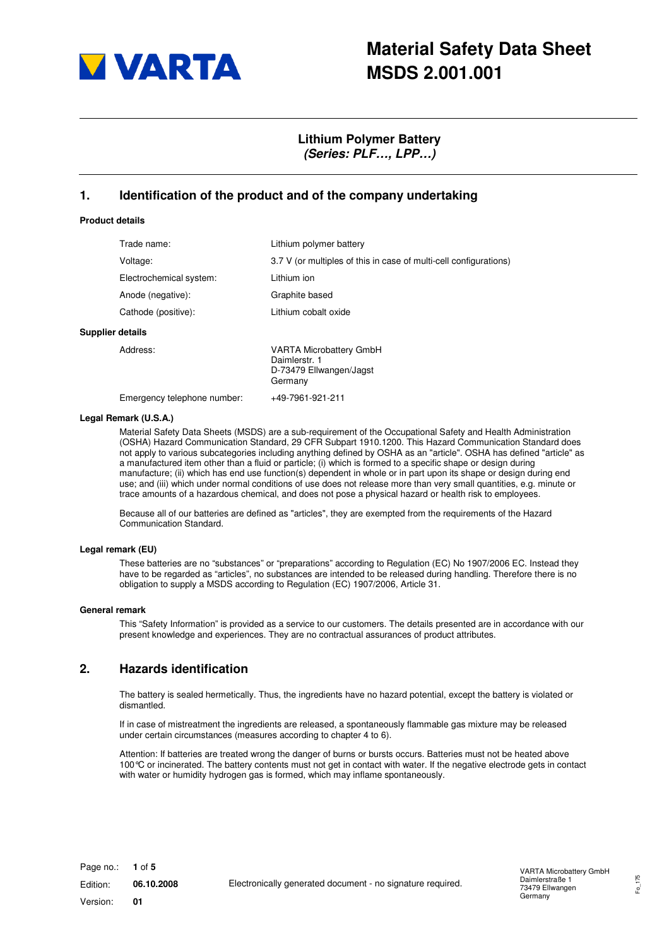

# **Material Safety Data Sheet MSDS 2.001.001**

# **Lithium Polymer Battery (Series: PLF…, LPP…)**

#### **1. Identification of the product and of the company undertaking**

#### **Product details**

|                  | Trade name:             | Lithium polymer battery                                                               |
|------------------|-------------------------|---------------------------------------------------------------------------------------|
|                  | Voltage:                | 3.7 V (or multiples of this in case of multi-cell configurations)                     |
|                  | Electrochemical system: | Lithium ion                                                                           |
|                  | Anode (negative):       | Graphite based                                                                        |
|                  | Cathode (positive):     | Lithium cobalt oxide                                                                  |
| Supplier details |                         |                                                                                       |
|                  | Address:                | <b>VARTA Microbattery GmbH</b><br>Daimlerstr. 1<br>D-73479 Ellwangen/Jagst<br>Germany |

Emergency telephone number: +49-7961-921-211

#### **Legal Remark (U.S.A.)**

Material Safety Data Sheets (MSDS) are a sub-requirement of the Occupational Safety and Health Administration (OSHA) Hazard Communication Standard, 29 CFR Subpart 1910.1200. This Hazard Communication Standard does not apply to various subcategories including anything defined by OSHA as an "article". OSHA has defined "article" as a manufactured item other than a fluid or particle; (i) which is formed to a specific shape or design during manufacture; (ii) which has end use function(s) dependent in whole or in part upon its shape or design during end use; and (iii) which under normal conditions of use does not release more than very small quantities, e.g. minute or trace amounts of a hazardous chemical, and does not pose a physical hazard or health risk to employees.

Because all of our batteries are defined as "articles", they are exempted from the requirements of the Hazard Communication Standard.

#### **Legal remark (EU)**

These batteries are no "substances" or "preparations" according to Regulation (EC) No 1907/2006 EC. Instead they have to be regarded as "articles", no substances are intended to be released during handling. Therefore there is no obligation to supply a MSDS according to Regulation (EC) 1907/2006, Article 31.

#### **General remark**

This "Safety Information" is provided as a service to our customers. The details presented are in accordance with our present knowledge and experiences. They are no contractual assurances of product attributes.

#### **2. Hazards identification**

The battery is sealed hermetically. Thus, the ingredients have no hazard potential, except the battery is violated or dismantled.

If in case of mistreatment the ingredients are released, a spontaneously flammable gas mixture may be released under certain circumstances (measures according to chapter 4 to 6).

Attention: If batteries are treated wrong the danger of burns or bursts occurs. Batteries must not be heated above 100°C or incinerated. The battery contents must not get in contact with water. If the negative electrode gets in contact with water or humidity hydrogen gas is formed, which may inflame spontaneously.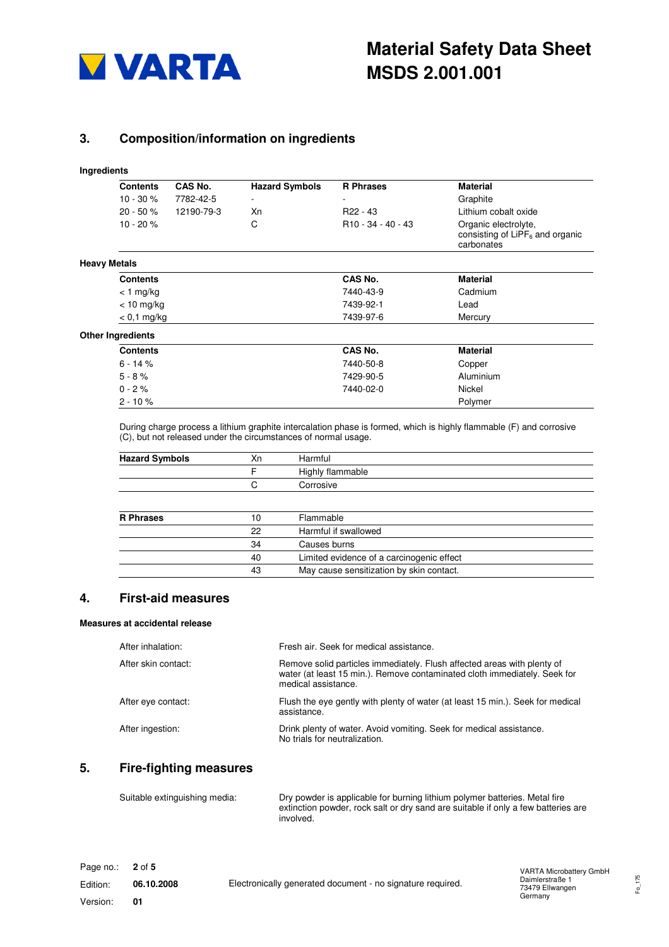

# **3. Composition/information on ingredients**

#### **Ingredients**

|                     | <b>Contents</b>          | CAS No.    | <b>Hazard Symbols</b>          | <b>R</b> Phrases                                                         | <b>Material</b>      |
|---------------------|--------------------------|------------|--------------------------------|--------------------------------------------------------------------------|----------------------|
|                     | $10 - 30 \%$             | 7782-42-5  | -                              | $\overline{\phantom{a}}$                                                 | Graphite             |
|                     | $20 - 50 \%$             | 12190-79-3 | Хn                             | R <sub>22</sub> - 43                                                     | Lithium cobalt oxide |
| $10 - 20%$          |                          | С          | R <sub>10</sub> - 34 - 40 - 43 | Organic electrolyte,<br>consisting of $LIPF_6$ and organic<br>carbonates |                      |
| <b>Heavy Metals</b> |                          |            |                                |                                                                          |                      |
|                     | <b>Contents</b>          |            |                                | CAS No.                                                                  | <b>Material</b>      |
|                     | $<$ 1 mg/kg              |            |                                | 7440-43-9                                                                | Cadmium              |
|                     | $< 10$ mg/kg             |            |                                | 7439-92-1                                                                | Lead                 |
|                     | $< 0.1$ mg/kg            |            |                                | 7439-97-6                                                                | Mercury              |
|                     | <b>Other Ingredients</b> |            |                                |                                                                          |                      |
|                     | <b>Contents</b>          |            |                                | CAS No.                                                                  | <b>Material</b>      |
|                     | $6 - 14%$                |            |                                | 7440-50-8                                                                | Copper               |
|                     | $5 - 8 \%$               |            |                                | 7429-90-5                                                                | Aluminium            |
|                     | $0 - 2%$                 |            |                                | 7440-02-0                                                                | Nickel               |
|                     | $2 - 10%$                |            |                                |                                                                          | Polymer              |

During charge process a lithium graphite intercalation phase is formed, which is highly flammable (F) and corrosive (C), but not released under the circumstances of normal usage.

| <b>Hazard Symbols</b> | Xn | Harmful                                   |  |
|-----------------------|----|-------------------------------------------|--|
|                       | F  | Highly flammable                          |  |
|                       | C  | Corrosive                                 |  |
|                       |    |                                           |  |
| <b>R</b> Phrases      | 10 | Flammable                                 |  |
|                       | 22 | Harmful if swallowed                      |  |
|                       | 34 | Causes burns                              |  |
|                       | 40 | Limited evidence of a carcinogenic effect |  |
|                       | 43 | May cause sensitization by skin contact.  |  |

# **4. First-aid measures**

#### **Measures at accidental release**

| After inhalation:   | Fresh air. Seek for medical assistance.                                                                                                                                     |
|---------------------|-----------------------------------------------------------------------------------------------------------------------------------------------------------------------------|
| After skin contact: | Remove solid particles immediately. Flush affected areas with plenty of<br>water (at least 15 min.). Remove contaminated cloth immediately. Seek for<br>medical assistance. |
| After eye contact:  | Flush the eye gently with plenty of water (at least 15 min.). Seek for medical<br>assistance.                                                                               |
| After ingestion:    | Drink plenty of water. Avoid vomiting. Seek for medical assistance.<br>No trials for neutralization.                                                                        |

#### **5. Fire-fighting measures**

| Suitable extinguishing media: | Dry powder is applicable for burning lithium polymer batteries. Metal fire        |
|-------------------------------|-----------------------------------------------------------------------------------|
| involved.                     | extinction powder, rock salt or dry sand are suitable if only a few batteries are |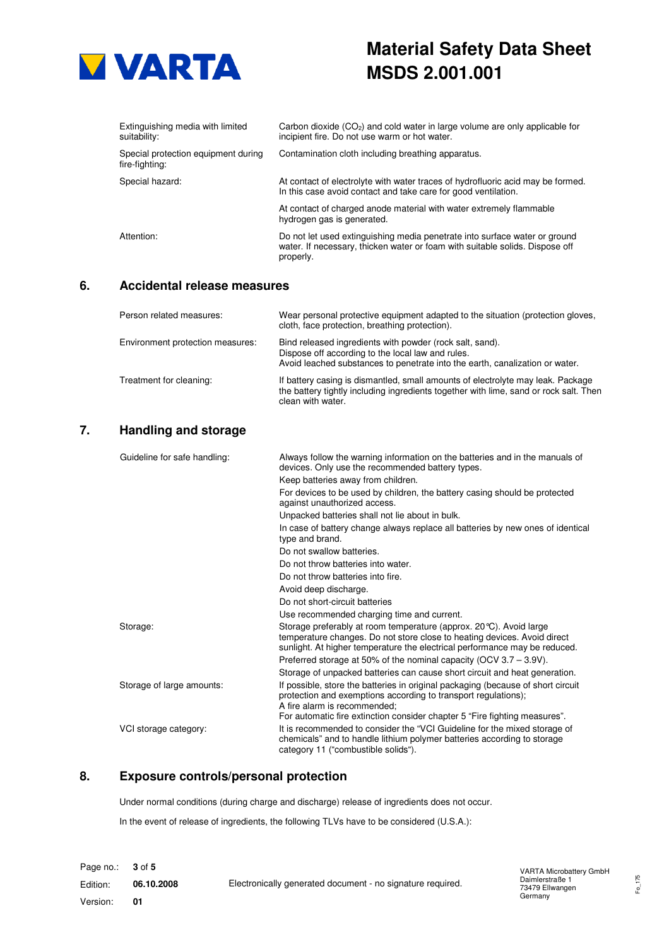

# **Material Safety Data Sheet MSDS 2.001.001**

| Extinguishing media with limited<br>suitability:      | Carbon dioxide $(CO2)$ and cold water in large volume are only applicable for<br>incipient fire. Do not use warm or hot water.                                          |
|-------------------------------------------------------|-------------------------------------------------------------------------------------------------------------------------------------------------------------------------|
| Special protection equipment during<br>fire-fighting: | Contamination cloth including breathing apparatus.                                                                                                                      |
| Special hazard:                                       | At contact of electrolyte with water traces of hydrofluoric acid may be formed.<br>In this case avoid contact and take care for good ventilation.                       |
|                                                       | At contact of charged anode material with water extremely flammable<br>hydrogen gas is generated.                                                                       |
| Attention:                                            | Do not let used extinguishing media penetrate into surface water or ground<br>water. If necessary, thicken water or foam with suitable solids. Dispose off<br>properly. |

#### **6. Accidental release measures**

| Person related measures:         | Wear personal protective equipment adapted to the situation (protection gloves,<br>cloth, face protection, breathing protection).                                                             |
|----------------------------------|-----------------------------------------------------------------------------------------------------------------------------------------------------------------------------------------------|
| Environment protection measures: | Bind released ingredients with powder (rock salt, sand).<br>Dispose off according to the local law and rules.<br>Avoid leached substances to penetrate into the earth, canalization or water. |
| Treatment for cleaning:          | If battery casing is dismantled, small amounts of electrolyte may leak. Package<br>the battery tightly including ingredients together with lime, sand or rock salt. Then<br>clean with water. |

# **7. Handling and storage**

| Guideline for safe handling: | Always follow the warning information on the batteries and in the manuals of<br>devices. Only use the recommended battery types.                                                                                              |
|------------------------------|-------------------------------------------------------------------------------------------------------------------------------------------------------------------------------------------------------------------------------|
|                              | Keep batteries away from children.                                                                                                                                                                                            |
|                              | For devices to be used by children, the battery casing should be protected<br>against unauthorized access.                                                                                                                    |
|                              | Unpacked batteries shall not lie about in bulk.                                                                                                                                                                               |
|                              | In case of battery change always replace all batteries by new ones of identical<br>type and brand.                                                                                                                            |
|                              | Do not swallow batteries.                                                                                                                                                                                                     |
|                              | Do not throw batteries into water.                                                                                                                                                                                            |
|                              | Do not throw batteries into fire.                                                                                                                                                                                             |
|                              | Avoid deep discharge.                                                                                                                                                                                                         |
|                              | Do not short-circuit batteries                                                                                                                                                                                                |
|                              | Use recommended charging time and current.                                                                                                                                                                                    |
| Storage:                     | Storage preferably at room temperature (approx. 20 °C). Avoid large<br>temperature changes. Do not store close to heating devices. Avoid direct<br>sunlight. At higher temperature the electrical performance may be reduced. |
|                              | Preferred storage at 50% of the nominal capacity (OCV $3.7 - 3.9V$ ).                                                                                                                                                         |
|                              | Storage of unpacked batteries can cause short circuit and heat generation.                                                                                                                                                    |
| Storage of large amounts:    | If possible, store the batteries in original packaging (because of short circuit<br>protection and exemptions according to transport regulations);<br>A fire alarm is recommended;                                            |
|                              | For automatic fire extinction consider chapter 5 "Fire fighting measures".                                                                                                                                                    |
| VCI storage category:        | It is recommended to consider the "VCI Guideline for the mixed storage of<br>chemicals" and to handle lithium polymer batteries according to storage<br>category 11 ("combustible solids").                                   |

# **8. Exposure controls/personal protection**

Under normal conditions (during charge and discharge) release of ingredients does not occur.

In the event of release of ingredients, the following TLVs have to be considered (U.S.A.):

Fo\_175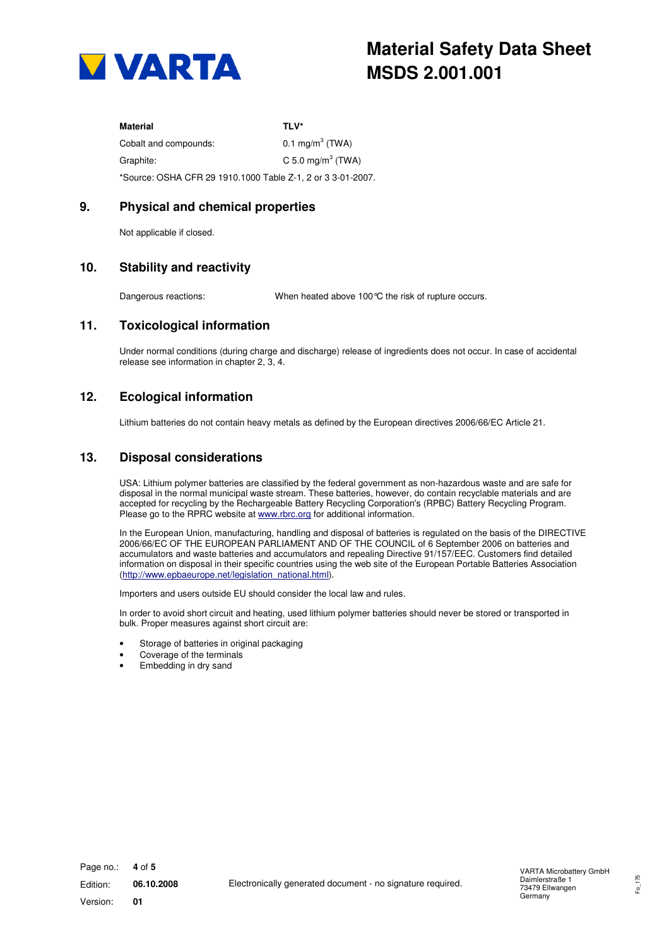

| Material                                                    | TI V*                         |
|-------------------------------------------------------------|-------------------------------|
| Cobalt and compounds:                                       | 0.1 mg/m <sup>3</sup> (TWA)   |
| Graphite:                                                   | C 5.0 mg/m <sup>3</sup> (TWA) |
| *Source: OSHA CFR 29 1910.1000 Table Z-1, 2 or 3 3-01-2007. |                               |

## **9. Physical and chemical properties**

Not applicable if closed.

## **10. Stability and reactivity**

Dangerous reactions: When heated above 100°C the risk of rupture occurs.

#### **11. Toxicological information**

Under normal conditions (during charge and discharge) release of ingredients does not occur. In case of accidental release see information in chapter 2, 3, 4.

# **12. Ecological information**

Lithium batteries do not contain heavy metals as defined by the European directives 2006/66/EC Article 21.

#### **13. Disposal considerations**

USA: Lithium polymer batteries are classified by the federal government as non-hazardous waste and are safe for disposal in the normal municipal waste stream. These batteries, however, do contain recyclable materials and are accepted for recycling by the Rechargeable Battery Recycling Corporation's (RPBC) Battery Recycling Program. Please go to the RPRC website at www.rbrc.org for additional information.

In the European Union, manufacturing, handling and disposal of batteries is regulated on the basis of the DIRECTIVE 2006/66/EC OF THE EUROPEAN PARLIAMENT AND OF THE COUNCIL of 6 September 2006 on batteries and accumulators and waste batteries and accumulators and repealing Directive 91/157/EEC. Customers find detailed information on disposal in their specific countries using the web site of the European Portable Batteries Association (http://www.epbaeurope.net/legislation\_national.html).

Importers and users outside EU should consider the local law and rules.

In order to avoid short circuit and heating, used lithium polymer batteries should never be stored or transported in bulk. Proper measures against short circuit are:

- Storage of batteries in original packaging
- Coverage of the terminals
- Embedding in dry sand